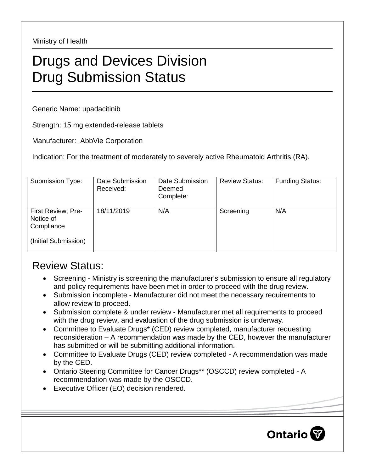Ministry of Health

## Drugs and Devices Division Drug Submission Status

Generic Name: upadacitinib

Strength: 15 mg extended-release tablets

Manufacturer: AbbVie Corporation

Indication: For the treatment of moderately to severely active Rheumatoid Arthritis (RA).

| Submission Type:                                                      | Date Submission<br>Received: | Date Submission<br>Deemed<br>Complete: | <b>Review Status:</b> | <b>Funding Status:</b> |
|-----------------------------------------------------------------------|------------------------------|----------------------------------------|-----------------------|------------------------|
| First Review, Pre-<br>Notice of<br>Compliance<br>(Initial Submission) | 18/11/2019                   | N/A                                    | Screening             | N/A                    |

## Review Status:

- Screening Ministry is screening the manufacturer's submission to ensure all regulatory and policy requirements have been met in order to proceed with the drug review.
- Submission incomplete Manufacturer did not meet the necessary requirements to allow review to proceed.
- Submission complete & under review Manufacturer met all requirements to proceed with the drug review, and evaluation of the drug submission is underway.
- Committee to Evaluate Drugs\* (CED) review completed, manufacturer requesting reconsideration – A recommendation was made by the CED, however the manufacturer has submitted or will be submitting additional information.
- Committee to Evaluate Drugs (CED) review completed A recommendation was made by the CED.
- Ontario Steering Committee for Cancer Drugs\*\* (OSCCD) review completed A recommendation was made by the OSCCD.
- Executive Officer (EO) decision rendered.